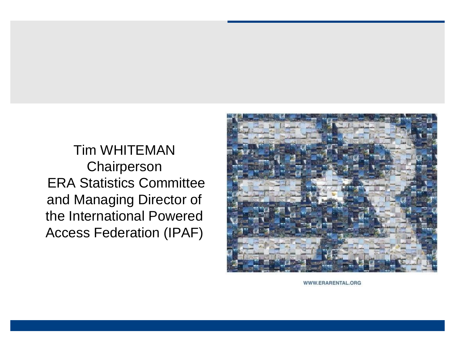Tim WHITEMAN **Chairperson** ERA Statistics Committee and Managing Director of the International Powered Access Federation (IPAF)



WWW.ERARENTAL.ORG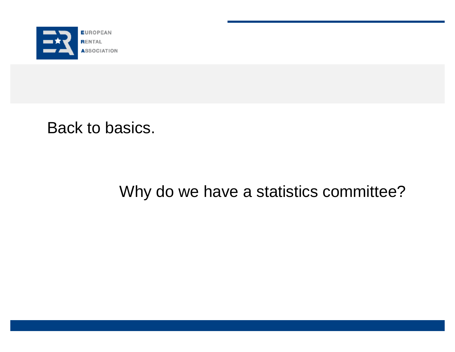

Back to basics.

### Why do we have a statistics committee?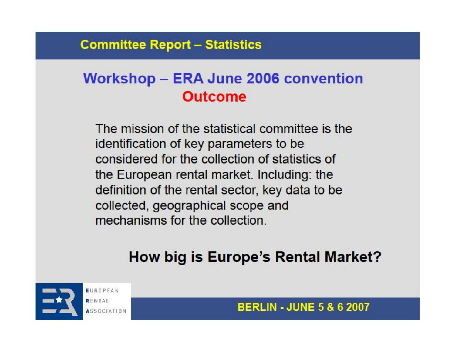#### **Committee Report - Statistics**

### **Workshop - ERA June 2006 convention Outcome**

The mission of the statistical committee is the identification of key parameters to be considered for the collection of statistics of the European rental market. Including: the definition of the rental sector, key data to be collected, geographical scope and mechanisms for the collection.

### How big is Europe's Rental Market?



**BERLIN - JUNE 5 & 6 2007**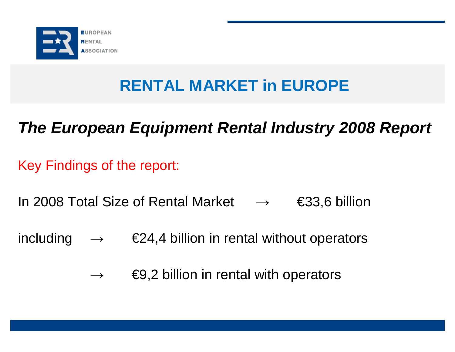

# **RENTAL MARKET in EUROPE**

# *The European Equipment Rental Industry 2008 Report*

Key Findings of the report:

In 2008 Total Size of Rental Market  $\rightarrow$  €33,6 billion

including  $\rightarrow$   $\in$ 24,4 billion in rental without operators

 $\epsilon$ 9,2 billion in rental with operators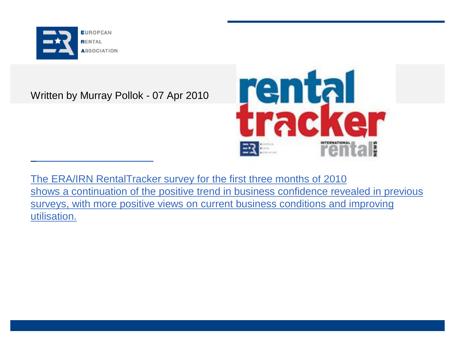

Written by Murray Pollok - 07 Apr 2010



The ERA/IRN RentalTracker survey for the first three months of 2010 shows a continuation of the positive trend in business confidence revealed in previous surveys, with more positive views on current business conditions and improving utilisation.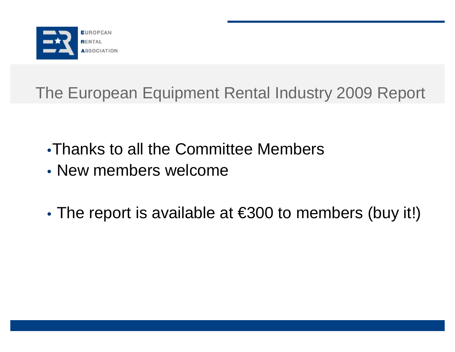

# The European Equipment Rental Industry 2009 Report

- •Thanks to all the Committee Members
- New members welcome
- The report is available at €300 to members (buy it!)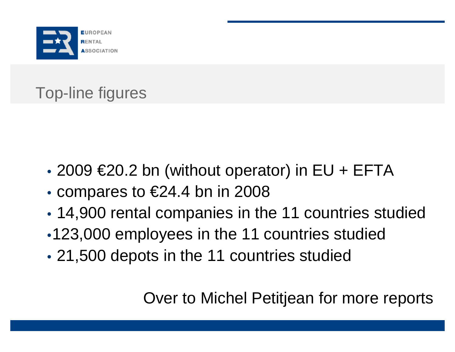

# Top-line figures

- 2009  $€20.2$  bn (without operator) in EU + EFTA
- compares to  $\epsilon$ 24.4 bn in 2008
- 14,900 rental companies in the 11 countries studied
- •123,000 employees in the 11 countries studied
- 21,500 depots in the 11 countries studied

Over to Michel Petitjean for more reports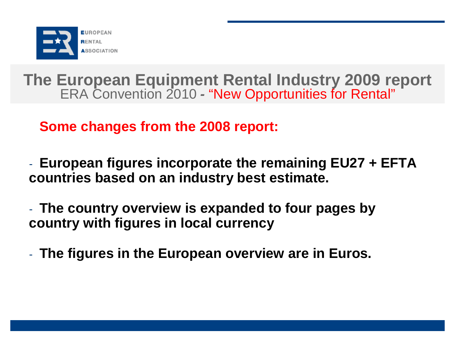

#### **Some changes from the 2008 report:**

- **European figures incorporate the remaining EU27 + EFTA countries based on an industry best estimate.**

- **The country overview is expanded to four pages by country with figures in local currency** 

- **The figures in the European overview are in Euros.**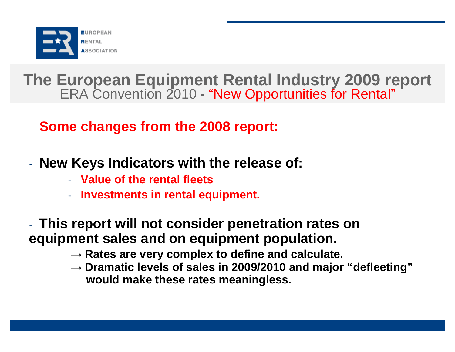

#### **Some changes from the 2008 report:**

- **New Keys Indicators with the release of:**
	- **Value of the rental fleets**
	- **Investments in rental equipment.**
- **This report will not consider penetration rates on equipment sales and on equipment population.** 
	- **→ Rates are very complex to define and calculate.**
	- **→ Dramatic levels of sales in 2009/2010 and major "defleeting" would make these rates meaningless.**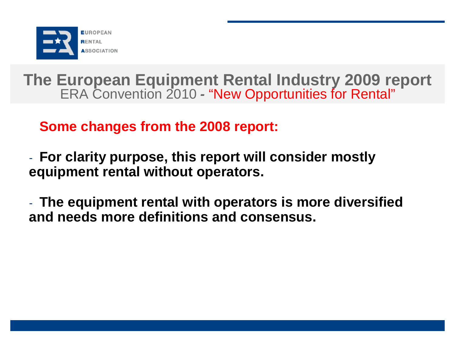

#### **Some changes from the 2008 report:**

- **For clarity purpose, this report will consider mostly equipment rental without operators.**
- **The equipment rental with operators is more diversified and needs more definitions and consensus.**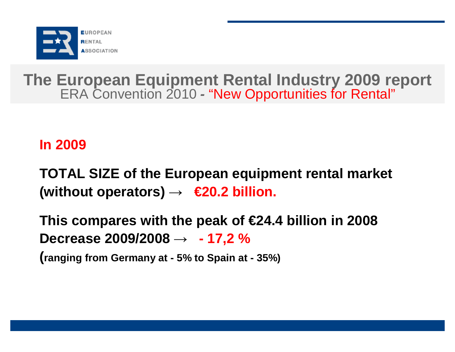

#### **In 2009**

**TOTAL SIZE of the European equipment rental market (without operators)**  $\rightarrow$   $\epsilon$ **20.2 billion.** 

**This compares with the peak of €24.4 billion in 2008 Decrease 2009/2008 → - 17,2 %**

**(ranging from Germany at - 5% to Spain at - 35%)**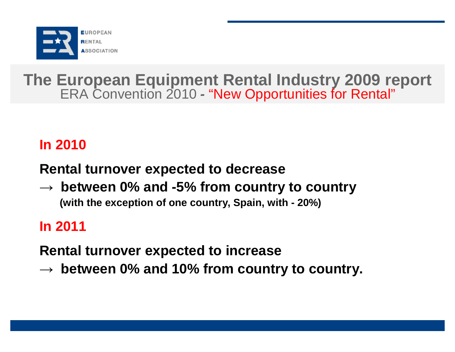

#### **In 2010**

**Rental turnover expected to decrease** 

**→ between 0% and -5% from country to country (with the exception of one country, Spain, with - 20%)**

### **In 2011**

**Rental turnover expected to increase** 

**→ between 0% and 10% from country to country.**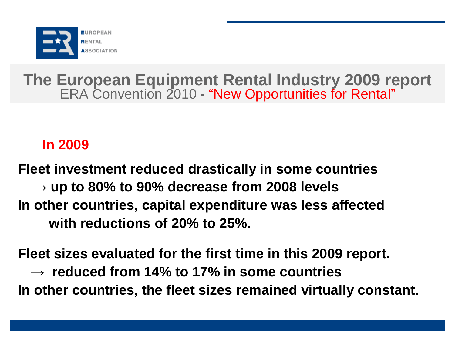

#### **In 2009**

**Fleet investment reduced drastically in some countries → up to 80% to 90% decrease from 2008 levels In other countries, capital expenditure was less affected with reductions of 20% to 25%.** 

**Fleet sizes evaluated for the first time in this 2009 report. → reduced from 14% to 17% in some countries In other countries, the fleet sizes remained virtually constant.**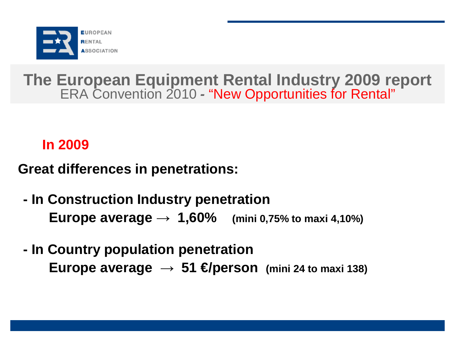

#### **In 2009**

**Great differences in penetrations:**

- **- In Construction Industry penetration Europe**  $\bf{average} \rightarrow 1,60\%$  (mini 0,75% to maxi 4,10%)
- **- In Country population penetration Europe** average  $\rightarrow$  51 *</del>*  $\bullet$  *person (mini 24 to maxi 138)*